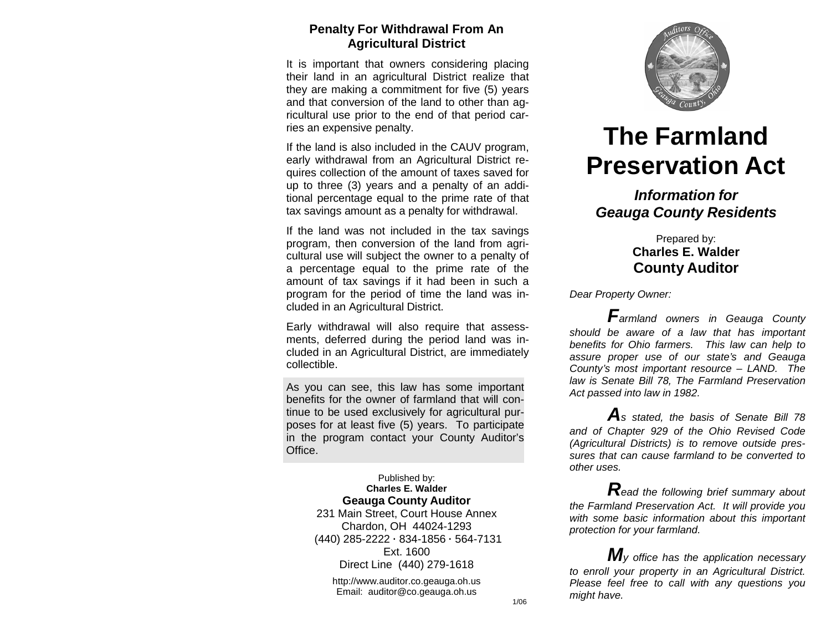## **Penalty For Withdrawal From An Agricultural District**

It is important that owners considering placing their land in an agricultural District realize that they are making a commitment for five (5) years and that conversion of the land to other than agricultural use prior to the end of that period carries an expensive penalty.

If the land is also included in the CAUV program, early withdrawal from an Agricultural District requires collection of the amount of taxes saved for up to three (3) years and a penalty of an additional percentage equal to the prime rate of that tax savings amount as a penalty for withdrawal.

If the land was not included in the tax savings program, then conversion of the land from agricultural use will subject the owner to a penalty of a percentage equal to the prime rate of the amount of tax savings if it had been in such a program for the period of time the land was included in an Agricultural District.

Early withdrawal will also require that assessments, deferred during the period land was included in an Agricultural District, are immediately collectible.

As you can see, this law has some important benefits for the owner of farmland that will continue to be used exclusively for agricultural purposes for at least five (5) years. To participate in the program contact your County Auditor's Office.

#### Published by: **Charles E. Walder Geauga County Auditor**

231 Main Street, Court House Annex Chardon, OH 44024-1293 (440) 285-2222 **·** 834-1856 **·** 564-7131 Ext. 1600 Direct Line (440) 279-1618

[http://www.auditor.co.geauga.oh.us](http://www.auditor.co.geauga.oh.us/) Email: [auditor@co.geauga.oh.us](mailto:auditor@co.geauga.oh.us)



# **The Farmland Preservation Act**

# *Information for Geauga County Residents*

## Prepared by: **Charles E. Walder County Auditor**

*Dear Property Owner:*

*Farmland owners in Geauga County should be aware of a law that has important benefits for Ohio farmers. This law can help to assure proper use of our state's and Geauga County's most important resource – LAND. The law is Senate Bill 78, The Farmland Preservation Act passed into law in 1982.*

*A<sup>s</sup> stated, the basis of Senate Bill <sup>78</sup> and of Chapter 929 of the Ohio Revised Code (Agricultural Districts) is to remove outside pressures that can cause farmland to be converted to other uses.*

*Read the following brief summary about the Farmland Preservation Act. It will provide you with some basic information about this important protection for your farmland.*

*My office has the application necessary to enroll your property in an Agricultural District. Please feel free to call with any questions you might have.*